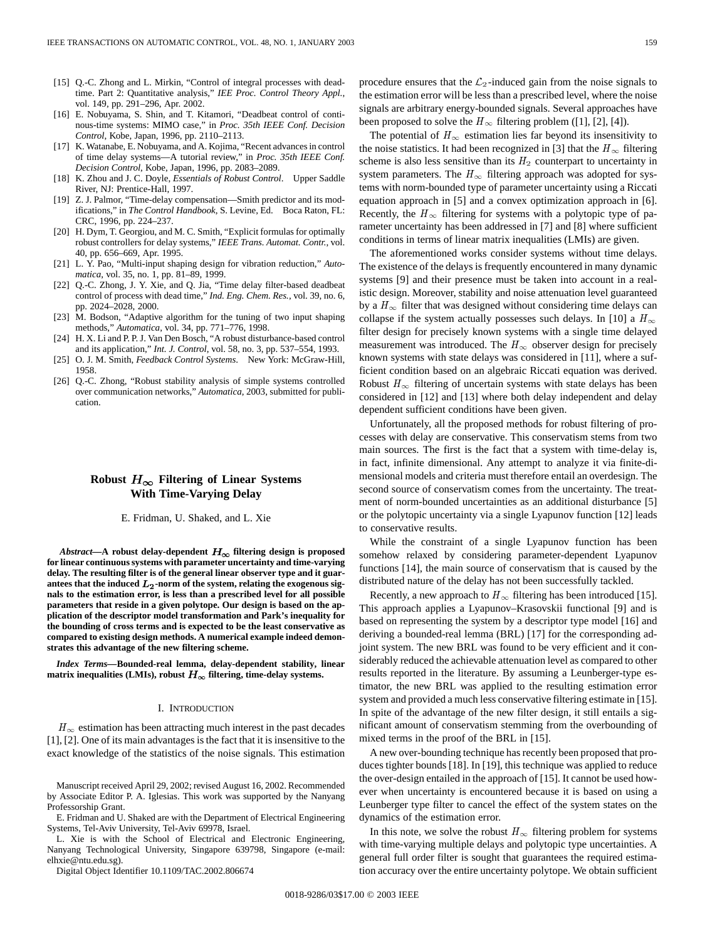- [15] O.-C. Zhong and L. Mirkin, "Control of integral processes with deadtime. Part 2: Quantitative analysis," *IEE Proc. Control Theory Appl.*, vol. 149, pp. 291–296, Apr. 2002.
- [16] E. Nobuyama, S. Shin, and T. Kitamori, "Deadbeat control of continous-time systems: MIMO case," in *Proc. 35th IEEE Conf. Decision Control*, Kobe, Japan, 1996, pp. 2110–2113.
- [17] K. Watanabe, E. Nobuyama, and A. Kojima, "Recent advances in control of time delay systems—A tutorial review," in *Proc. 35th IEEE Conf. Decision Control*, Kobe, Japan, 1996, pp. 2083–2089.
- [18] K. Zhou and J. C. Doyle, *Essentials of Robust Control*. Upper Saddle River, NJ: Prentice-Hall, 1997.
- [19] Z. J. Palmor, "Time-delay compensation-Smith predictor and its modifications," in *The Control Handbook*, S. Levine, Ed. Boca Raton, FL: CRC, 1996, pp. 224–237.
- [20] H. Dym, T. Georgiou, and M. C. Smith, "Explicit formulas for optimally robust controllers for delay systems," *IEEE Trans. Automat. Contr.*, vol. 40, pp. 656–669, Apr. 1995.
- [21] L. Y. Pao, "Multi-input shaping design for vibration reduction," *Automatica*, vol. 35, no. 1, pp. 81–89, 1999.
- [22] Q.-C. Zhong, J. Y. Xie, and Q. Jia, "Time delay filter-based deadbeat control of process with dead time," *Ind. Eng. Chem. Res.*, vol. 39, no. 6, pp. 2024–2028, 2000.
- [23] M. Bodson, "Adaptive algorithm for the tuning of two input shaping methods," *Automatica*, vol. 34, pp. 771–776, 1998.
- [24] H. X. Li and P. P. J. Van Den Bosch, "A robust disturbance-based control and its application," *Int. J. Control*, vol. 58, no. 3, pp. 537–554, 1993.
- [25] O. J. M. Smith, *Feedback Control Systems*. New York: McGraw-Hill, 1958.
- [26] Q.-C. Zhong, "Robust stability analysis of simple systems controlled over communication networks," *Automatica*, 2003, submitted for publication.

# Robust  $H_{\infty}$  Filtering of Linear Systems **With Time-Varying Delay**

E. Fridman, U. Shaked, and L. Xie

*Abstract*—**A** robust delay-dependent  $H_{\infty}$  filtering design is proposed **for linear continuous systems with parameter uncertainty and time-varying delay. The resulting filter is of the general linear observer type and it guar**antees that the induced  $L_2$ -norm of the system, relating the exogenous sig**nals to the estimation error, is less than a prescribed level for all possible parameters that reside in a given polytope. Our design is based on the application of the descriptor model transformation and Park's inequality for the bounding of cross terms and is expected to be the least conservative as compared to existing design methods. A numerical example indeed demonstrates this advantage of the new filtering scheme.**

*Index Terms—***Bounded-real lemma, delay-dependent stability, linear** matrix inequalities (LMIs), robust  $H_{\infty}$  filtering, time-delay systems.

#### I. INTRODUCTION

 $H_{\infty}$  estimation has been attracting much interest in the past decades [1], [2]. One of its main advantages is the fact that it is insensitive to the exact knowledge of the statistics of the noise signals. This estimation

Manuscript received April 29, 2002; revised August 16, 2002. Recommended by Associate Editor P. A. Iglesias. This work was supported by the Nanyang Professorship Grant.

E. Fridman and U. Shaked are with the Department of Electrical Engineering Systems, Tel-Aviv University, Tel-Aviv 69978, Israel.

L. Xie is with the School of Electrical and Electronic Engineering, Nanyang Technological University, Singapore 639798, Singapore (e-mail: elhxie@ntu.edu.sg).

Digital Object Identifier 10.1109/TAC.2002.806674

procedure ensures that the  $\mathcal{L}_2$ -induced gain from the noise signals to the estimation error will be less than a prescribed level, where the noise signals are arbitrary energy-bounded signals. Several approaches have been proposed to solve the  $H_{\infty}$  filtering problem ([1], [2], [4]).

The potential of  $H_{\infty}$  estimation lies far beyond its insensitivity to the noise statistics. It had been recognized in [3] that the  $H_{\infty}$  filtering scheme is also less sensitive than its  $H_2$  counterpart to uncertainty in system parameters. The  $H_{\infty}$  filtering approach was adopted for systems with norm-bounded type of parameter uncertainty using a Riccati equation approach in [5] and a convex optimization approach in [6]. Recently, the  $H_{\infty}$  filtering for systems with a polytopic type of parameter uncertainty has been addressed in [7] and [8] where sufficient conditions in terms of linear matrix inequalities (LMIs) are given.

The aforementioned works consider systems without time delays. The existence of the delays is frequently encountered in many dynamic systems [9] and their presence must be taken into account in a realistic design. Moreover, stability and noise attenuation level guaranteed by a  $H_{\infty}$  filter that was designed without considering time delays can collapse if the system actually possesses such delays. In [10] a  $H_{\infty}$ filter design for precisely known systems with a single time delayed measurement was introduced. The  $H_{\infty}$  observer design for precisely known systems with state delays was considered in [11], where a sufficient condition based on an algebraic Riccati equation was derived. Robust  $H_{\infty}$  filtering of uncertain systems with state delays has been considered in [12] and [13] where both delay independent and delay dependent sufficient conditions have been given.

Unfortunately, all the proposed methods for robust filtering of processes with delay are conservative. This conservatism stems from two main sources. The first is the fact that a system with time-delay is, in fact, infinite dimensional. Any attempt to analyze it via finite-dimensional models and criteria must therefore entail an overdesign. The second source of conservatism comes from the uncertainty. The treatment of norm-bounded uncertainties as an additional disturbance [5] or the polytopic uncertainty via a single Lyapunov function [12] leads to conservative results.

While the constraint of a single Lyapunov function has been somehow relaxed by considering parameter-dependent Lyapunov functions [14], the main source of conservatism that is caused by the distributed nature of the delay has not been successfully tackled.

Recently, a new approach to  $H_{\infty}$  filtering has been introduced [15]. This approach applies a Lyapunov–Krasovskii functional [9] and is based on representing the system by a descriptor type model [16] and deriving a bounded-real lemma (BRL) [17] for the corresponding adjoint system. The new BRL was found to be very efficient and it considerably reduced the achievable attenuation level as compared to other results reported in the literature. By assuming a Leunberger-type estimator, the new BRL was applied to the resulting estimation error system and provided a much less conservative filtering estimate in [15]. In spite of the advantage of the new filter design, it still entails a significant amount of conservatism stemming from the overbounding of mixed terms in the proof of the BRL in [15].

A new over-bounding technique has recently been proposed that produces tighter bounds [18]. In [19], this technique was applied to reduce the over-design entailed in the approach of [15]. It cannot be used however when uncertainty is encountered because it is based on using a Leunberger type filter to cancel the effect of the system states on the dynamics of the estimation error.

In this note, we solve the robust  $H_{\infty}$  filtering problem for systems with time-varying multiple delays and polytopic type uncertainties. A general full order filter is sought that guarantees the required estimation accuracy over the entire uncertainty polytope. We obtain sufficient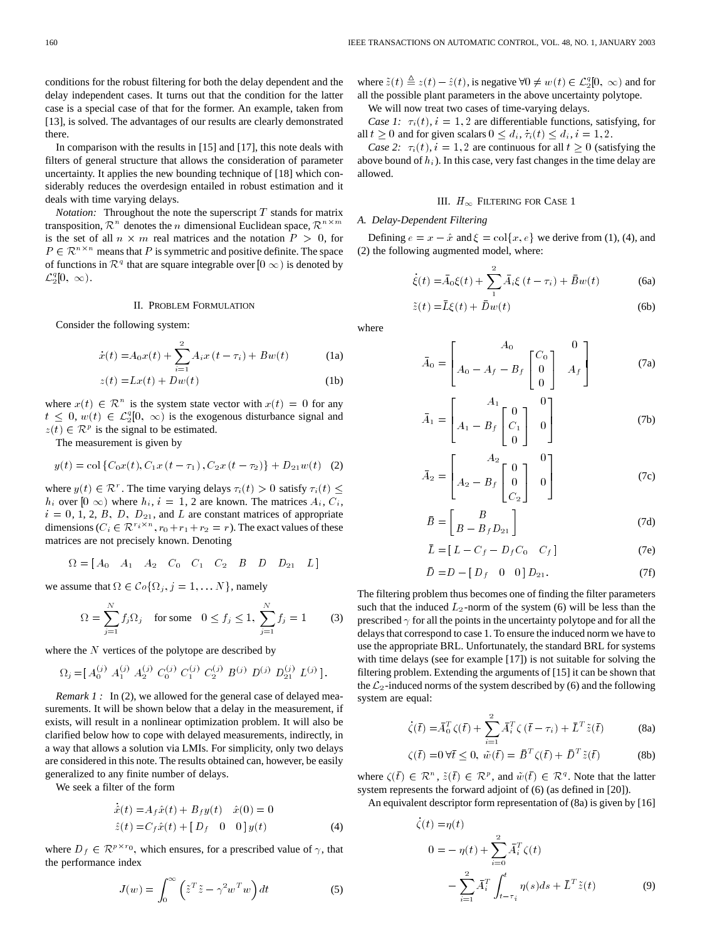conditions for the robust filtering for both the delay dependent and the delay independent cases. It turns out that the condition for the latter case is a special case of that for the former. An example, taken from [13], is solved. The advantages of our results are clearly demonstrated there.

In comparison with the results in [15] and [17], this note deals with filters of general structure that allows the consideration of parameter uncertainty. It applies the new bounding technique of [18] which considerably reduces the overdesign entailed in robust estimation and it deals with time varying delays.

*Notation:* Throughout the note the superscript  $T$  stands for matrix transposition,  $\mathcal{R}^n$  denotes the *n* dimensional Euclidean space,  $\mathcal{R}^{n \times m}$ is the set of all  $n \times m$  real matrices and the notation  $P > 0$ , for  $P \in \mathbb{R}^{n \times n}$  means that P is symmetric and positive definite. The space of functions in  $\mathcal{R}^q$  that are square integrable over  $[0 \infty)$  is denoted by  $\mathcal{L}_2^q[0, \infty)$ .

## II. PROBLEM FORMULATION

Consider the following system:

$$
\dot{x}(t) = A_0 x(t) + \sum_{i=1}^{2} A_i x(t - \tau_i) + B w(t)
$$
 (1a)

$$
z(t) = Lx(t) + Dw(t)
$$
 (1b)

where  $x(t) \in \mathcal{R}^n$  is the system state vector with  $x(t)=0$  for any  $t \leq 0$ ,  $w(t) \in \mathcal{L}_2^q[0, \infty)$  is the exogenous disturbance signal and  $z(t) \in \mathcal{R}^p$  is the signal to be estimated.

The measurement is given by

$$
y(t) = \text{col}\left\{C_0x(t), C_1x(t-\tau_1), C_2x(t-\tau_2)\right\} + D_{21}w(t) \quad (2)
$$

where  $y(t) \in \mathcal{R}^r$ . The time varying delays  $\tau_i(t) > 0$  satisfy  $\tau_i(t) \leq$  $h_i$  over  $[0 \infty)$  where  $h_i$ ,  $i = 1, 2$  are known. The matrices  $A_i$ ,  $C_i$ ,  $i = 0, 1, 2, B, D, D_{21}$ , and L are constant matrices of appropriate dimensions ( $C_i \in \mathbb{R}^{r_i \times n}$ ,  $r_0+r_1+r_2 = r$ ). The exact values of these matrices are not precisely known. Denoting

$$
\Omega = \begin{bmatrix} A_0 & A_1 & A_2 & C_0 & C_1 & C_2 & B & D & D_{21} & L \end{bmatrix}
$$

we assume that  $\Omega \in \mathcal{C} \circ \{ \Omega_j, j = 1, \dots N \}$ , namely

$$
\Omega = \sum_{j=1}^{N} f_j \Omega_j \quad \text{for some} \quad 0 \le f_j \le 1, \ \sum_{j=1}^{N} f_j = 1 \tag{3}
$$

where the  $N$  vertices of the polytope are described by

$$
\Omega_j\!=\!\left[\!\begin{array}{cc} A_0^{(j)}\!\! & A_1^{(j)}\!\! & A_2^{(j)}\!\! & C_0^{(j)}\!\! & C_1^{(j)}\!\! & C_2^{(j)}\!\! & B^{(j)}\!\! & D^{(j)}\!\! & D_{21}^{(j)}\!\! & L^{(j)}\!\!\end{array}\!\right].
$$

*Remark 1* : In (2), we allowed for the general case of delayed measurements. It will be shown below that a delay in the measurement, if exists, will result in a nonlinear optimization problem. It will also be clarified below how to cope with delayed measurements, indirectly, in a way that allows a solution via LMIs. For simplicity, only two delays are considered in this note. The results obtained can, however, be easily generalized to any finite number of delays.

We seek a filter of the form

$$
\begin{aligned}\n\dot{\hat{x}}(t) &= A_f \hat{x}(t) + B_f y(t) & \hat{x}(0) &= 0 \\
\hat{z}(t) &= C_f \hat{x}(t) + [D_f \quad 0 \quad 0] \, y(t)\n\end{aligned} \tag{4}
$$

where  $D_f \in \mathbb{R}^{p \times r_0}$ , which ensures, for a prescribed value of  $\gamma$ , that the performance index

$$
J(w) = \int_0^\infty \left(\tilde{z}^T \tilde{z} - \gamma^2 w^T w\right) dt
$$
 (5)

where  $\tilde{z}(t) \triangleq z(t) - \hat{z}(t)$ , is negative  $\forall 0 \neq w(t) \in \mathcal{L}_2^q[0, \infty)$  and for all the possible plant parameters in the above uncertainty polytope.

We will now treat two cases of time-varying delays.

*Case 1:*  $\tau_i(t)$ ,  $i = 1, 2$  are differentiable functions, satisfying, for all  $t \geq 0$  and for given scalars  $0 \leq d_i, \tau_i(t) \leq d_i, i = 1, 2$ .

*Case 2:*  $\tau_i(t)$ ,  $i = 1, 2$  are continuous for all  $t \geq 0$  (satisfying the above bound of  $h_i$ ). In this case, very fast changes in the time delay are allowed.

## III.  $H_{\infty}$  Filtering for Case 1

#### *A. Delay-Dependent Filtering*

Defining  $e = x - \hat{x}$  and  $\xi = \text{col}\{x, e\}$  we derive from (1), (4), and (2) the following augmented model, where:

$$
\dot{\xi}(t) = \bar{A}_0 \xi(t) + \sum_{i=1}^{2} \bar{A}_i \xi(t - \tau_i) + \bar{B} w(t)
$$
 (6a)

$$
\tilde{z}(t) = \bar{L}\xi(t) + \bar{D}w(t)
$$
\n(6b)

where

$$
\bar{A}_0 = \begin{bmatrix} A_0 & 0 \\ A_0 - A_f - B_f \begin{bmatrix} C_0 \\ 0 \\ 0 \end{bmatrix} & A_f \end{bmatrix} \tag{7a}
$$

$$
\bar{A}_1 = \begin{bmatrix} A_1 \\ A_1 - B_f \begin{bmatrix} 0 \\ C_1 \\ 0 \end{bmatrix} & 0 \end{bmatrix}
$$
 (7b)

$$
\bar{A}_2 = \begin{bmatrix} A_2 \\ A_2 - B_f \begin{bmatrix} 0 \\ 0 \\ C_2 \end{bmatrix} & 0 \end{bmatrix}
$$
 (7c)

$$
\bar{B} = \begin{bmatrix} B \\ B - B_f D_{21} \end{bmatrix}
$$
 (7d)

$$
\bar{L} = [L - C_f - D_f C_0 \quad C_f]
$$
 (7e)

$$
\bar{D} = D - [D_f \quad 0 \quad 0] D_{21}.
$$
 (7f)

The filtering problem thus becomes one of finding the filter parameters such that the induced  $L_2$ -norm of the system (6) will be less than the prescribed  $\gamma$  for all the points in the uncertainty polytope and for all the delays that correspond to case 1. To ensure the induced norm we have to use the appropriate BRL. Unfortunately, the standard BRL for systems with time delays (see for example [17]) is not suitable for solving the filtering problem. Extending the arguments of [15] it can be shown that the  $\mathcal{L}_2$ -induced norms of the system described by (6) and the following system are equal:

$$
\dot{\zeta}(\bar{t}) = \bar{A}_0^T \zeta(\bar{t}) + \sum_{i=1}^2 \bar{A}_i^T \zeta (\bar{t} - \tau_i) + \bar{L}^T \tilde{z}(\bar{t})
$$
 (8a)

$$
\zeta(\bar{t}) = 0 \,\forall \bar{t} \le 0, \ \tilde{w}(\bar{t}) = \bar{B}^T \zeta(\bar{t}) + \bar{D}^T \tilde{z}(\bar{t}) \tag{8b}
$$

where  $\zeta(\bar{t}) \in \mathcal{R}^n$ ,  $\tilde{z}(\bar{t}) \in \mathcal{R}^p$ , and  $\tilde{w}(\bar{t}) \in \mathcal{R}^q$ . Note that the latter system represents the forward adjoint of (6) (as defined in [20]).

An equivalent descriptor form representation of (8a) is given by [16]

$$
\begin{aligned} \zeta(t) &= \eta(t) \\ 0 &= -\eta(t) + \sum_{i=0}^{2} \bar{A}_{i}^{T} \zeta(t) \\ &- \sum_{i=1}^{2} \bar{A}_{i}^{T} \int_{t-\tau_{i}}^{t} \eta(s) ds + \bar{L}^{T} \tilde{z}(t) \end{aligned} \tag{9}
$$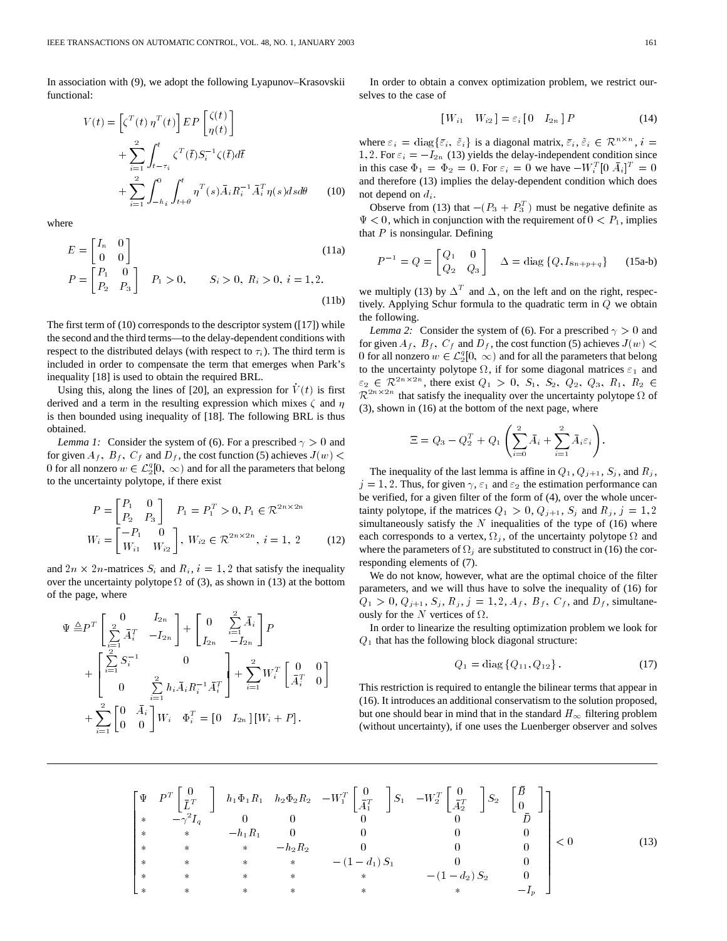In association with (9), we adopt the following Lyapunov–Krasovskii functional:

$$
V(t) = \left[\zeta^T(t) \eta^T(t)\right] EP\left[\begin{matrix} \zeta(t) \\ \eta(t) \end{matrix}\right]
$$

$$
+ \sum_{i=1}^2 \int_{t-\tau_i}^t \zeta^T(\bar{t}) S_i^{-1} \zeta(\bar{t}) d\bar{t}
$$

$$
+ \sum_{i=1}^2 \int_{-h_i}^0 \int_{t+\theta}^t \eta^T(s) \bar{A}_i R_i^{-1} \bar{A}_i^T \eta(s) ds d\theta \qquad (10)
$$

where

$$
E = \begin{bmatrix} I_n & 0 \\ 0 & 0 \end{bmatrix}
$$
  
\n
$$
P = \begin{bmatrix} P_1 & 0 \\ P_2 & P_3 \end{bmatrix} \quad P_1 > 0, \qquad S_i > 0, R_i > 0, i = 1, 2.
$$
  
\n(11b)

The first term of (10) corresponds to the descriptor system ([17]) while the second and the third terms—to the delay-dependent conditions with respect to the distributed delays (with respect to  $\tau_i$ ). The third term is included in order to compensate the term that emerges when Park's inequality [18] is used to obtain the required BRL.

Using this, along the lines of [20], an expression for  $V(t)$  is first derived and a term in the resulting expression which mixes  $\zeta$  and  $\eta$ is then bounded using inequality of [18]. The following BRL is thus obtained.

*Lemma 1:* Consider the system of (6). For a prescribed  $\gamma > 0$  and for given  $A_f$ ,  $B_f$ ,  $C_f$  and  $D_f$ , the cost function (5) achieves  $J(w)$  < 0 for all nonzero  $w \in \mathcal{L}_2^q[0, \infty)$  and for all the parameters that belong to the uncertainty polytope, if there exist

$$
P = \begin{bmatrix} P_1 & 0 \\ P_2 & P_3 \end{bmatrix} \quad P_1 = P_1^T > 0, P_1 \in \mathcal{R}^{2n \times 2n}
$$

$$
W_i = \begin{bmatrix} -P_1 & 0 \\ W_{i1} & W_{i2} \end{bmatrix}, W_{i2} \in \mathcal{R}^{2n \times 2n}, i = 1, 2
$$
(12)

and  $2n \times 2n$ -matrices  $S_i$  and  $R_i$ ,  $i = 1, 2$  that satisfy the inequality over the uncertainty polytope  $\Omega$  of (3), as shown in (13) at the bottom of the page, where

$$
\Psi \triangleq P^{T} \left[ \sum_{i=1}^{2} \bar{A}_{i}^{T} - I_{2n} \right] + \left[ \begin{array}{cc} 0 & \sum_{i=1}^{2} \bar{A}_{i} \\ I_{2n} & -I_{2n} \end{array} \right] P
$$
  
+ 
$$
\left[ \begin{array}{ccc} \sum_{i=1}^{2} S_{i}^{-1} & 0 \\ 0 & \sum_{i=1}^{2} h_{i} \bar{A}_{i} R_{i}^{-1} \bar{A}_{i}^{T} \end{array} \right] + \sum_{i=1}^{2} W_{i}^{T} \left[ \begin{array}{cc} 0 & 0 \\ \bar{A}_{i}^{T} & 0 \end{array} \right]
$$
  
+ 
$$
\sum_{i=1}^{2} \left[ \begin{array}{cc} 0 & \bar{A}_{i} \\ 0 & 0 \end{array} \right] W_{i} \quad \Phi_{i}^{T} = \left[ \begin{array}{cc} 0 & I_{2n} \end{array} \right] \left[ W_{i} + P \right].
$$

In order to obtain a convex optimization problem, we restrict ourselves to the case of

$$
[W_{i1} \quad W_{i2}] = \varepsilon_i [0 \quad I_{2n}] P \tag{14}
$$

where  $\varepsilon_i = \text{diag}\{\bar{\varepsilon}_i, \, \tilde{\varepsilon}_i\}$  is a diagonal matrix,  $\bar{\varepsilon}_i, \, \tilde{\varepsilon}_i \in \mathcal{R}^{n \times n}$ ,  $i =$ 1, 2. For  $\varepsilon_i = -I_{2n}$  (13) yields the delay-independent condition since in this case  $\Phi_1 = \Phi_2 = 0$ . For  $\varepsilon_i = 0$  we have  $-W_i^T[0 \bar{A}_i]^T = 0$ and therefore (13) implies the delay-dependent condition which does not depend on  $d_i$ .

Observe from (13) that  $-(P_3 + P_3^T)$  must be negative definite as  $\Psi$  < 0, which in conjunction with the requirement of  $0 < P_1$ , implies that  $P$  is nonsingular. Defining

$$
P^{-1} = Q = \begin{bmatrix} Q_1 & 0 \\ Q_2 & Q_3 \end{bmatrix} \quad \Delta = \text{diag} \{Q, I_{8n+p+q}\} \qquad (15a-b)
$$

we multiply (13) by  $\Delta^T$  and  $\Delta$ , on the left and on the right, respectively. Applying Schur formula to the quadratic term in Q we obtain the following.

*Lemma 2:* Consider the system of (6). For a prescribed  $\gamma > 0$  and for given  $A_f$ ,  $B_f$ ,  $C_f$  and  $D_f$ , the cost function (5) achieves  $J(w)$  < 0 for all nonzero  $w \in \mathcal{L}_2^q[0, \infty)$  and for all the parameters that belong to the uncertainty polytope  $\Omega$ , if for some diagonal matrices  $\varepsilon_1$  and  $\varepsilon_2 \in \mathcal{R}^{2n \times 2n}$ , there exist  $Q_1 > 0$ ,  $S_1$ ,  $S_2$ ,  $Q_2$ ,  $Q_3$ ,  $R_1$ ,  $R_2 \in$  $\mathcal{R}^{2n \times 2n}$  that satisfy the inequality over the uncertainty polytope  $\Omega$  of (3), shown in (16) at the bottom of the next page, where

$$
\Xi = Q_3 - Q_2^T + Q_1 \left( \sum_{i=0}^2 \bar{A}_i + \sum_{i=1}^2 \bar{A}_i \varepsilon_i \right).
$$

The inequality of the last lemma is affine in  $Q_1$ ,  $Q_{i+1}$ ,  $S_i$ , and  $R_i$ ,  $j = 1, 2$ . Thus, for given  $\gamma$ ,  $\varepsilon_1$  and  $\varepsilon_2$  the estimation performance can be verified, for a given filter of the form of (4), over the whole uncertainty polytope, if the matrices  $Q_1 > 0$ ,  $Q_{j+1}$ ,  $S_j$  and  $R_j$ ,  $j = 1, 2$ simultaneously satisfy the  $N$  inequalities of the type of (16) where each corresponds to a vertex,  $\Omega_j$ , of the uncertainty polytope  $\Omega$  and where the parameters of  $\Omega_j$  are substituted to construct in (16) the corresponding elements of (7).

We do not know, however, what are the optimal choice of the filter parameters, and we will thus have to solve the inequality of (16) for  $Q_1 > 0, Q_{i+1}, S_i, R_i, j = 1, 2, A_f, B_f, C_f$ , and  $D_f$ , simultaneously for the  $N$  vertices of  $\Omega$ .

In order to linearize the resulting optimization problem we look for  $Q_1$  that has the following block diagonal structure:

$$
Q_1 = \text{diag}\{Q_{11}, Q_{12}\}.
$$
 (17)

This restriction is required to entangle the bilinear terms that appear in (16). It introduces an additional conservatism to the solution proposed, but one should bear in mind that in the standard  $H_{\infty}$  filtering problem (without uncertainty), if one uses the Luenberger observer and solves

$$
\begin{bmatrix}\n\Psi & P^{T} \begin{bmatrix} 0 \\ \bar{L}^{T} \end{bmatrix} & h_{1} \Phi_{1} R_{1} & h_{2} \Phi_{2} R_{2} & -W_{1}^{T} \begin{bmatrix} 0 \\ \bar{A}_{1}^{T} \end{bmatrix} & S_{1} & -W_{2}^{T} \begin{bmatrix} 0 \\ \bar{A}_{2}^{T} \end{bmatrix} & S_{2} & \begin{bmatrix} \bar{B} \\ 0 \end{bmatrix} \\
* & * & -\gamma^{2} I_{q} & 0 & 0 & 0 & 0 & 0 \\
* & * & -h_{1} R_{1} & 0 & 0 & 0 & 0 \\
* & * & * & -h_{2} R_{2} & 0 & 0 & 0 \\
* & * & * & * & - (1 - d_{1}) S_{1} & 0 & 0 \\
* & * & * & * & * & * & - (1 - d_{2}) S_{2} & 0 \\
* & * & * & * & * & * & * & - I_{p}\n\end{bmatrix} < 0\n\end{bmatrix} < 0
$$
\n(13)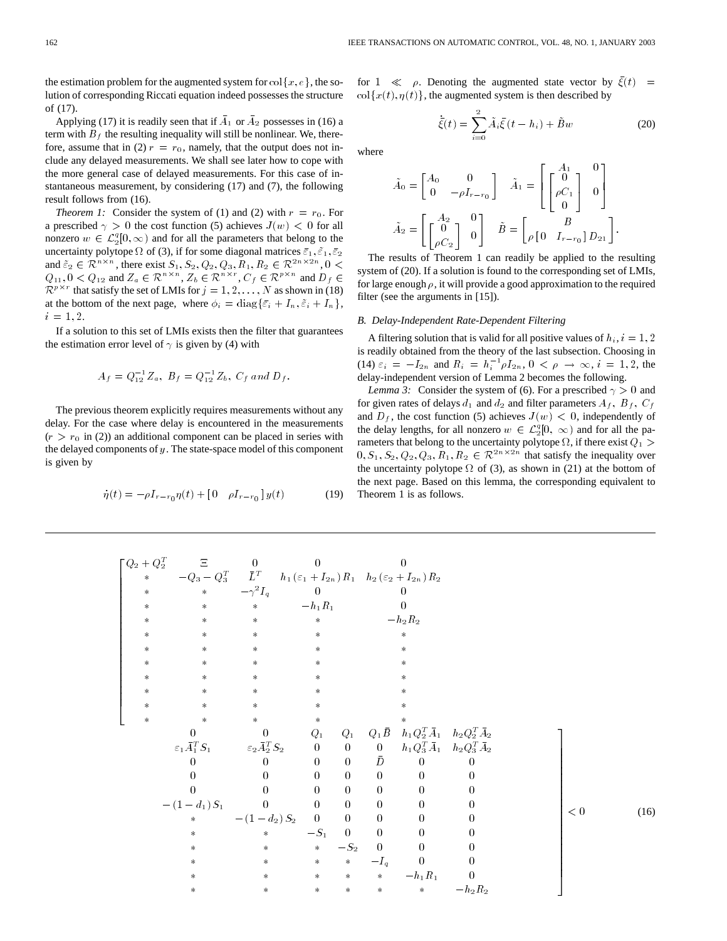the estimation problem for the augmented system for  $col\{x, e\}$ , the solution of corresponding Riccati equation indeed possesses the structure of (17).

Applying (17) it is readily seen that if  $\overline{A}_1$  or  $\overline{A}_2$  possesses in (16) a term with  $B_f$  the resulting inequality will still be nonlinear. We, therefore, assume that in (2)  $r = r_0$ , namely, that the output does not include any delayed measurements. We shall see later how to cope with the more general case of delayed measurements. For this case of instantaneous measurement, by considering (17) and (7), the following result follows from (16).

*Theorem 1:* Consider the system of (1) and (2) with  $r = r_0$ . For a prescribed  $\gamma > 0$  the cost function (5) achieves  $J(w) < 0$  for all nonzero  $w \in \mathcal{L}_2^q[0,\infty)$  and for all the parameters that belong to the uncertainty polytope  $\Omega$  of (3), if for some diagonal matrices  $\bar{\varepsilon}_1$ ,  $\bar{\varepsilon}_1$ ,  $\bar{\varepsilon}_2$ and  $\tilde{\varepsilon}_2 \in \mathbb{R}^{n \times n}$ , there exist  $S_1, S_2, Q_2, Q_3, R_1, R_2 \in \mathbb{R}^{2n \times 2n}$ ,  $0 <$  $Q_{11}$ ,  $0 < Q_{12}$  and  $Z_a \in \mathbb{R}^{n \times n}$ ,  $Z_b \in \mathbb{R}^{n \times r}$ ,  $C_f \in \mathbb{R}^{p \times n}$  and  $D_f \in$  $\mathcal{R}^{p \times r}$  that satisfy the set of LMIs for  $j = 1, 2, ..., N$  as shown in (18) at the bottom of the next page, where  $\phi_i = \text{diag}\{\bar{\varepsilon}_i + I_n, \tilde{\varepsilon}_i + I_n\},\$  $i = 1, 2.$ 

If a solution to this set of LMIs exists then the filter that guarantees the estimation error level of  $\gamma$  is given by (4) with

$$
A_f = Q_{12}^{-1} Z_a, B_f = Q_{12}^{-1} Z_b, C_f \text{ and } D_f.
$$

The previous theorem explicitly requires measurements without any delay. For the case where delay is encountered in the measurements  $(r > r_0$  in (2)) an additional component can be placed in series with the delayed components of  $y$ . The state-space model of this component is given by

$$
\dot{\eta}(t) = -\rho I_{r-r_0} \eta(t) + \begin{bmatrix} 0 & \rho I_{r-r_0} \end{bmatrix} y(t) \tag{19}
$$

for  $1 \ll \rho$ . Denoting the augmented state vector by  $\bar{\xi}(t)$  =  $col{x(t), \eta(t)}$ , the augmented system is then described by

$$
\dot{\bar{\xi}}(t) = \sum_{i=0}^{2} \tilde{A}_{i} \bar{\xi}(t - h_{i}) + \tilde{B}w
$$
 (20)

where

$$
\tilde{A}_0 = \begin{bmatrix} A_0 & 0 \\ 0 & -\rho I_{r-r0} \end{bmatrix} \quad \tilde{A}_1 = \begin{bmatrix} A_1 & 0 \\ 0 & 0 \\ 0 & 0 \end{bmatrix}
$$

$$
\tilde{A}_2 = \begin{bmatrix} A_2 & 0 \\ 0 & 0 \end{bmatrix} \quad \tilde{B} = \begin{bmatrix} B \\ \rho \begin{bmatrix} 0 & I_{r-r0} \end{bmatrix} D_{21} \end{bmatrix}.
$$

The results of Theorem 1 can readily be applied to the resulting system of (20). If a solution is found to the corresponding set of LMIs, for large enough  $\rho$ , it will provide a good approximation to the required filter (see the arguments in [15]).

### *B. Delay-Independent Rate-Dependent Filtering*

A filtering solution that is valid for all positive values of  $h_i$ ,  $i = 1, 2$ is readily obtained from the theory of the last subsection. Choosing in (14)  $\varepsilon_i = -I_{2n}$  and  $R_i = h_i^{-1} \rho I_{2n}$ ,  $0 < \rho \to \infty$ ,  $i = 1, 2$ , the delay-independent version of Lemma 2 becomes the following.

*Lemma 3:* Consider the system of (6). For a prescribed  $\gamma > 0$  and for given rates of delays  $d_1$  and  $d_2$  and filter parameters  $A_f$ ,  $B_f$ ,  $C_f$ and  $D_f$ , the cost function (5) achieves  $J(w) < 0$ , independently of the delay lengths, for all nonzero  $w \in \mathcal{L}_2^q[0, \infty)$  and for all the parameters that belong to the uncertainty polytope  $\Omega$ , if there exist  $Q_1 >$  $0, S_1, S_2, Q_2, Q_3, R_1, R_2 \in \mathbb{R}^{2n \times 2n}$  that satisfy the inequality over the uncertainty polytope  $\Omega$  of (3), as shown in (21) at the bottom of the next page. Based on this lemma, the corresponding equivalent to Theorem 1 is as follows.

| $\lceil Q_2 + Q_2^T \rceil$ |                | $\Xi$ 0<br>$\qquad \qquad -Q_3-Q_3^T \qquad \bar L^T \qquad h_1\left(\varepsilon_1+I_{2n}\right)R_1 \quad h_2\left(\varepsilon_2+I_{2n}\right)R_2$ | $\bf{0}$                                      |        |             | $\overline{0}$                                                  |                  |     |      |
|-----------------------------|----------------|----------------------------------------------------------------------------------------------------------------------------------------------------|-----------------------------------------------|--------|-------------|-----------------------------------------------------------------|------------------|-----|------|
| $\ast$                      |                |                                                                                                                                                    |                                               |        |             |                                                                 |                  |     |      |
| $\star$                     |                | * $-\gamma^2 I_q$                                                                                                                                  | $\bf{0}$                                      |        |             |                                                                 |                  |     |      |
| $\ast$                      | $\ast$         | $\ast$ $-h_1R_1$                                                                                                                                   |                                               |        |             |                                                                 |                  |     |      |
| $\ast$                      | $\star$        | $\boldsymbol{\times}$                                                                                                                              | $\ast$                                        |        | $-h_2R_2$   |                                                                 |                  |     |      |
| $\ast$                      | $\ast$         | $\ast$                                                                                                                                             | $\ast$                                        |        |             | $\ast$                                                          |                  |     |      |
| $\ast$                      | $\ast$         | $\ast$                                                                                                                                             | $\ast$                                        |        |             |                                                                 |                  |     |      |
| $\ast$                      | $\ast$         | $\ast$                                                                                                                                             | $\ast$                                        |        |             |                                                                 |                  |     |      |
| $\ast$                      | $\ast$         | $\ast$                                                                                                                                             | $\star$                                       |        |             |                                                                 |                  |     |      |
| $\ast$                      | $\ast$         | $\star$                                                                                                                                            | $\ast$                                        |        |             |                                                                 |                  |     |      |
| $\ast$                      | $\ast$         | $\star$                                                                                                                                            | $\ast$                                        |        |             |                                                                 |                  |     |      |
| $\ast$                      | $\ast$         | $\ast$                                                                                                                                             | $\ast$                                        |        |             |                                                                 |                  |     |      |
|                             | $\overline{0}$ | $\overline{\phantom{0}}$                                                                                                                           | $Q_1$                                         |        |             | $Q_1 = Q_1 \bar{B} - h_1 Q_2^T \bar{A}_1 - h_2 Q_2^T \bar{A}_2$ |                  |     |      |
|                             |                | $\varepsilon_1 \bar{A}_1^T S_1$ $\varepsilon_2 \bar{A}_2^T S_2$                                                                                    | $\qquad \qquad 0$                             |        |             | 0 0 $h_1 Q_3^T \bar{A}_1$ $h_2 Q_3^T \bar{A}_2$                 |                  |     |      |
|                             | $\theta$       | $\overline{0}$                                                                                                                                     | $\overline{\phantom{0}}$                      |        | 0 $\bar{D}$ | $\boldsymbol{0}$                                                | $\boldsymbol{0}$ |     |      |
|                             | $\theta$       |                                                                                                                                                    |                                               |        |             |                                                                 | $\boldsymbol{0}$ |     |      |
|                             | $\overline{0}$ |                                                                                                                                                    |                                               |        |             | $\overline{0}$                                                  | $\boldsymbol{0}$ |     |      |
|                             | $-(1-d_1) S_1$ |                                                                                                                                                    |                                               |        |             |                                                                 | $\boldsymbol{0}$ |     |      |
|                             | $\ast$         | $(l_1) S_1$ 0 0 0 0<br>$(l_1) S_2$ 0 0 0 0<br>$-(1-d_2) S_2$ 0 0 0<br>$-(1-d_2) S_2$ 0 0                                                           |                                               |        |             | $\begin{array}{c} 0 \\ 0 \end{array}$                           | $\boldsymbol{0}$ | < 0 | (16) |
|                             | $\ast$         | $\ast$                                                                                                                                             | $-S_1$ 0                                      |        |             | $\overline{0}$                                                  | $\overline{0}$   |     |      |
|                             | $\ast$         | $\begin{array}{ccc} * & -S_2 & 0 \end{array}$                                                                                                      |                                               |        |             | $\mathbf{0}$                                                    | $\boldsymbol{0}$ |     |      |
|                             | $\ast$         | $\ast$                                                                                                                                             | $\begin{array}{ccc} & * & & -I_q \end{array}$ |        |             | $\overline{0}$                                                  | $\overline{0}$   |     |      |
|                             | $\ast$         | $\ast$                                                                                                                                             |                                               |        |             | $\begin{array}{ccc} * & * & * & -h_1R_1 \end{array}$            | $\boldsymbol{0}$ |     |      |
|                             | $\ast$         | $\ast$                                                                                                                                             | $\star$                                       | $\ast$ | $\ast$      | $\star$                                                         | $-h_2 R_2$       |     |      |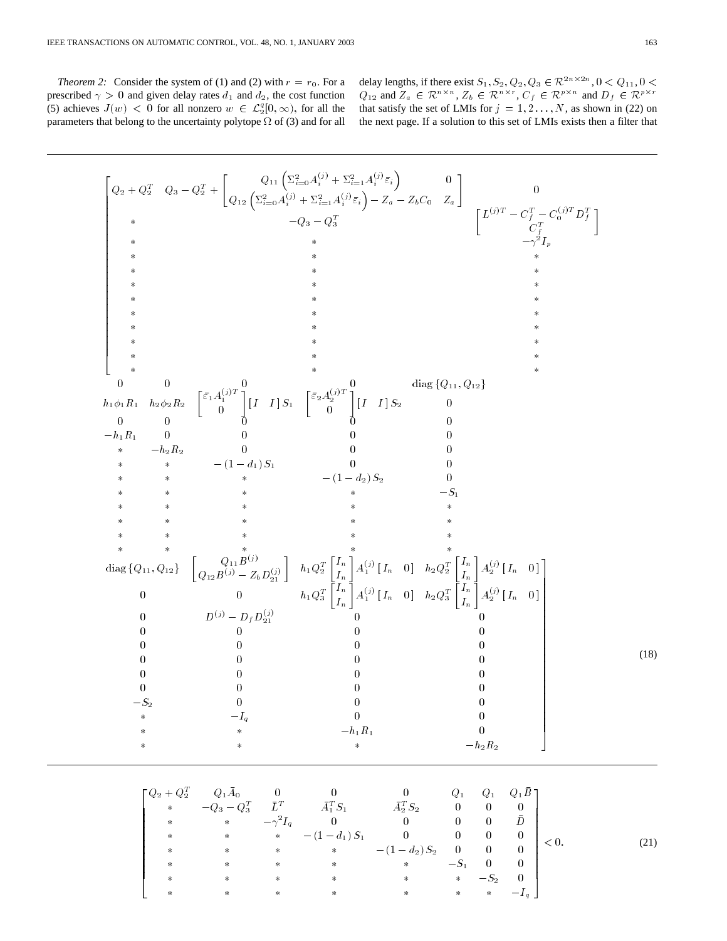*Theorem 2:* Consider the system of (1) and (2) with  $r = r_0$ . For a prescribed  $\gamma > 0$  and given delay rates  $d_1$  and  $d_2$ , the cost function (5) achieves  $J(w) < 0$  for all nonzero  $w \in \mathcal{L}_2^q[0,\infty)$ , for all the parameters that belong to the uncertainty polytope  $\Omega$  of (3) and for all

delay lengths, if there exist  $S_1, S_2, Q_2, Q_3 \in \mathcal{R}^{2n \times 2n}$ ,  $0 < Q_{11}$ ,  $0 <$  $Q_{12}$  and  $Z_a \in \mathcal{R}^{n \times n}$ ,  $Z_b \in \mathcal{R}^{n \times r}$ ,  $C_f \in \mathcal{R}^{p \times n}$  and  $D_f \in \mathcal{R}^{p \times r}$ that satisfy the set of LMIs for  $j = 1, 2, ..., N$ , as shown in (22) on the next page. If a solution to this set of LMIs exists then a filter that

Q2 + QT <sup>2</sup> Q3 QT <sup>2</sup> + Q11 2 i=0A(j) <sup>i</sup> + 2 i=1A(j) <sup>i</sup> "i 0 Q12 2 i=0A(j) <sup>i</sup> + 2 i=1A(j) <sup>i</sup> "i Za ZbC0 Za 0 Q3 QT 3 L(j)T C<sup>T</sup> <sup>f</sup> C(j)T <sup>0</sup> D<sup>T</sup> f C<sup>T</sup> f 2Ip 0 0 0 0 diag fQ11; Q12g h11R1 h22R2 "1A(j)T 1 <sup>0</sup> [ I I ] S1 "2A(j)T 2 <sup>0</sup> [ I I ] S2 <sup>0</sup> 00 0 0 0 h1R1 00 0 0 h2R2 0 00 (1 d1)S1 0 0 (1 d2)S2 0 S1 diag fQ11; Q12g Q11B(j) Q12B(j) ZbD(j) 21 h1QT 2 In In A(j) <sup>1</sup> [ In 0 ] h2QT 2 In In A(j) <sup>2</sup> [ In 0 ] 0 0 h1QT 3 In In A(j) <sup>1</sup> [ In 0 ] h2QT 3 In In A(j) <sup>2</sup> [ In 0 ] 0 D(j) DfD(j) <sup>21</sup> 0 0 00 0 0 00 0 0 00 0 0 00 0 0 00 0 0 S2 00 0 Iq 0 0 h1R1 0 h2R2 (18) Q2 + QT <sup>2</sup> Q1A0 00 0 Q1 Q1 Q1B Q3 QT <sup>3</sup> LT AT <sup>1</sup> S1 AT <sup>2</sup> S2 00 0 2Iq 0 0 00 D (1 d1)S1 0 00 0 (1 d2)S2 00 0 S1 0 0 S2 0 Iq < 0: (21)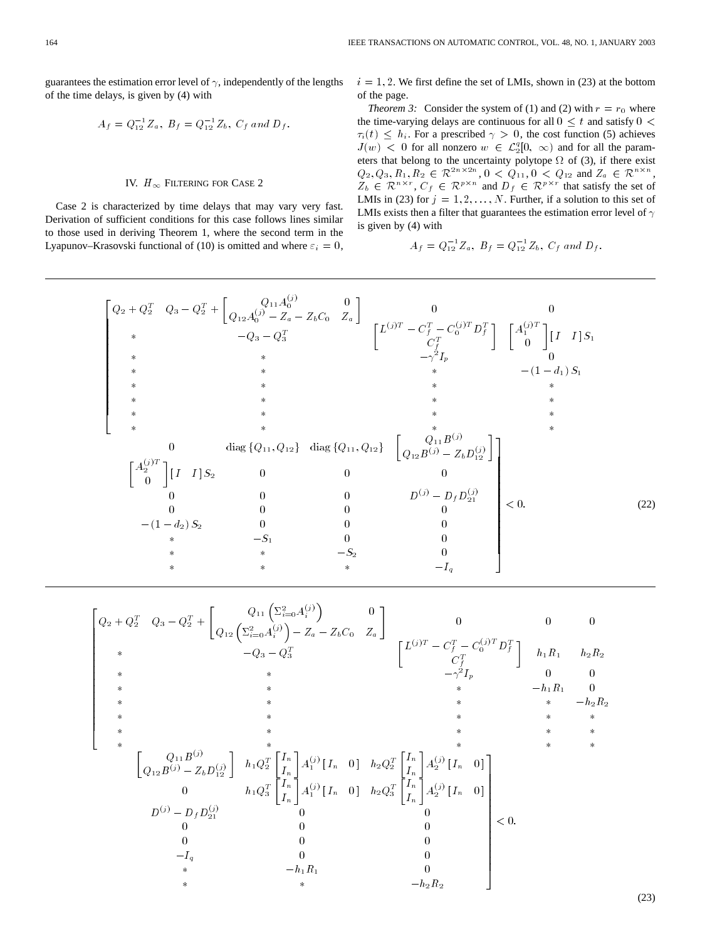guarantees the estimation error level of  $\gamma$ , independently of the lengths of the time delays, is given by (4) with  $A_f = Q_{12}^{-1} Z_a$ ,  $B_f = Q_{12}^{-1}$ 

$$
A_f = Q_{12}^{-1} Z_a, B_f = Q_{12}^{-1} Z_b, C_f \text{ and } D_f.
$$

# IV.  $H_{\infty}$ FILTERING FOR CASE 2

Case 2 is characterized by time delays that may vary very fast. Derivation of sufficient conditions for this case follows lines similar to those used in deriving Theorem 1, where the second term in the Lyapunov–Krasovski functional of (10) is omitted and where  $\varepsilon_i = 0$ ,  $i = 1, 2$ . We first define the set of LMIs, shown in (23) at the bottom of the page.

*Theorem 3:* Consider the system of (1) and (2) with  $r = r_0$  where the time-varying delays are continuous for all  $0 \leq t$  and satisfy  $0 <$  $\tau_i(t) \leq h_i$ . For a prescribed  $\gamma > 0$ , the cost function (5) achieves  $J(w)$  < 0 for all nonzero  $w \in \mathcal{L}_2^q[0, \infty)$  and for all the parameters that belong to the uncertainty polytope  $\Omega$  of (3), if there exist  $Q_2, Q_3, R_1, R_2 \in \mathcal{R}^{2n \times 2n}, 0 \leq Q_{11}, 0 \leq Q_{12} \text{ and } Z_a \in \mathcal{R}^{n \times n},$  $Z_b \in \mathcal{R}^{n \times r}$ ,  $C_f \in \mathcal{R}^{p \times n}$  and  $D_f \in \mathcal{R}^{p \times r}$  that satisfy the set of LMIs in (23) for  $j = 1, 2, ..., N$ . Further, if a solution to this set of LMIs exists then a filter that guarantees the estimation error level of  $\gamma$ is given by (4) with

$$
A_f = Q_{12}^{-1} Z_a, B_f = Q_{12}^{-1} Z_b, C_f \text{ and } D_f.
$$

$$
\begin{bmatrix}\nQ_2 + Q_2^T & Q_3 - Q_2^T + \begin{bmatrix}\nQ_{11}A_0^{(j)} & 0 \\
Q_{12}A_0^{(j)} - Z_a - Z_b C_0 & Z_a\n\end{bmatrix} & 0 & 0 \\
\ast & -Q_3 - Q_3^T & \begin{bmatrix}\nL^{(j)T} - C_f^T - C_0^{(j)T}D_f^T\n\end{bmatrix} & \begin{bmatrix}\nA_1^{(j)T} \\
0\n\end{bmatrix} & [I \quad I] S_1 \\
\ast & \ast & \ast & -\gamma^2 I_p & 0 \\
\ast & \ast & \ast & \ast \\
\ast & \ast & \ast & \ast \\
\ast & \ast & \ast & \ast \\
\ast & \ast & \ast & \ast \\
\ast & \ast & \ast & \ast \\
\ast & \ast & \ast & \ast \\
\ast & \ast & \ast & \ast \\
0 & \text{diag}\{Q_{11}, Q_{12}\} & \text{diag}\{Q_{11}, Q_{12}\} & \begin{bmatrix}\nQ_{11}B^{(j)} \\
Q_{12}B^{(j)} - Z_b D_{12}^{(j)}\n\end{bmatrix} & \begin{bmatrix}\nA_2^{(j)T} \\
0\n\end{bmatrix} & [I \quad I] S_2 & 0 & 0 & 0 \\
0 & 0 & 0 & 0 & 0 \\
0 & 0 & 0 & 0 & 0 \\
0 & 0 & 0 & 0 & 0 \\
0 & \ast & -S_1 & 0 & 0 \\
\ast & \ast & -S_2 & 0 & 0 \\
\ast & \ast & \ast & -I_q & 0\n\end{bmatrix} < 0. \tag{22}
$$

$$
\begin{bmatrix}\nQ_2 + Q_2^T & Q_3 - Q_2^T + \begin{bmatrix}\nQ_{11} \left( \sum_{i=0}^{2} A_i^{(j)} \right) & 0 \\
Q_{12} \left( \sum_{i=0}^{2} A_i^{(j)} \right) - Z_a - Z_b C_0 & Z_a\n\end{bmatrix} & 0 & 0 & 0 \\
\ast & -Q_3 - Q_3^T & \begin{bmatrix}\nL^{(j)T} - C_j^T - C_0^{(j)T} D_j^T\n\end{bmatrix} & h_1 R_1 & h_2 R_2 \\
\ast & \ast & -\gamma_2^2 I_p & 0 & 0 \\
\ast & \ast & -h_1 R_1 & 0 \\
\ast & \ast & \ast & -h_2 R_2\n\end{bmatrix} \\
\ast & \ast & \ast & \ast \\
\ast & \ast & \ast & \ast \\
\ast & \ast & \ast & \ast \\
\ast & \ast & \ast & \ast \\
\ast & \ast & \ast & \ast \\
Q_{12} B^{(j)} - Z_b D_{12}^{(j)} & 0 & 0 \\
0 & h_1 Q_3^T \begin{bmatrix}\nI_n \\
I_n\n\end{bmatrix} A_1^{(j)} \begin{bmatrix}\nI_n & 0\n\end{bmatrix} & h_2 Q_2^T \begin{bmatrix}\nI_n \\
I_n\n\end{bmatrix} A_2^{(j)} \begin{bmatrix}\nI_n & 0\n\end{bmatrix} \\
0 & 0 & 0 \\
0 & 0 & 0 \\
0 & 0 & 0 \\
0 & 0 & 0 \\
0 & 0 & 0 \\
0 & 0 & 0 \\
0 & 0 & 0 \\
0 & 0 & 0 \\
0 & 0 & 0 \\
0 & 0 & 0 \\
0 & 0 & 0 \\
0 & 0 & 0 \\
0 & 0 & 0 \\
0 & 0 & 0 \\
0 & 0 & 0 \\
0 & 0 & 0 \\
0 & 0 & 0 \\
0 & 0 & 0 \\
0 & 0 & 0 \\
0 & 0 & 0 \\
0 & 0 & 0 \\
0 & 0 & 0 \\
0 & 0 & 0 \\
0 & 0 & 0 \\
0 & 0 & 0 \\
0 & 0 & 0 \\
0 & 0 & 0 \\
0 & 0 & 0 \\
0 & 0 & 0 \\
0 & 0 & 0 \\
0 & 0 & 0 \\
0 & 0 & 0 \\
0 & 0 & 0 \\
0 & 0 & 0 \\
0 & 0 & 0 \\
0 & 0 & 0 \\
0 & 0 & 0 \\
0 & 0 & 0 \\
0 & 0
$$